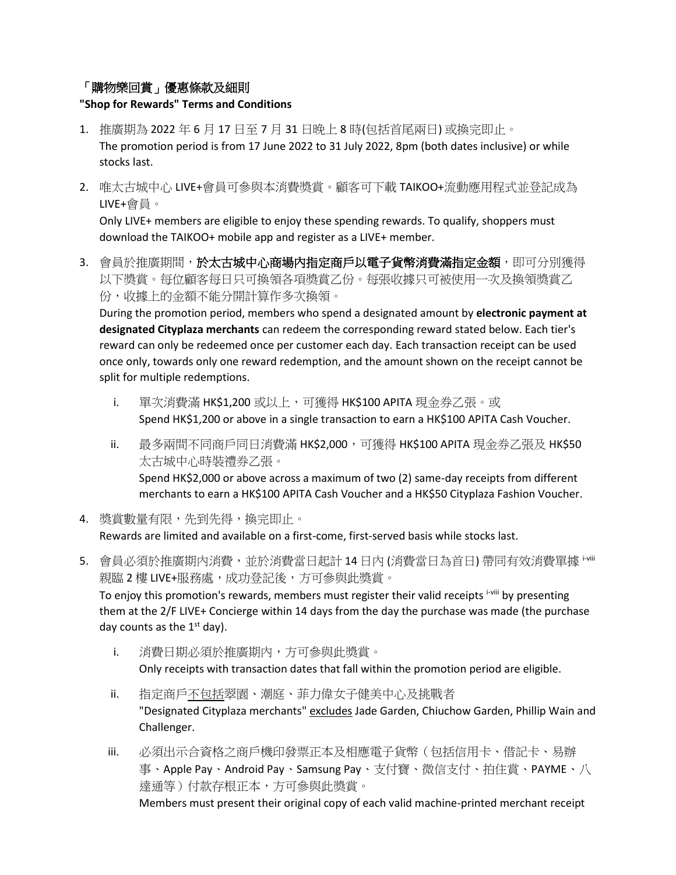## 「購物樂回賞」優惠條款及細則

## **"Shop for Rewards" Terms and Conditions**

- 1. 推廣期為 2022 年 6 月 17 日至 7 月 31 日晚上 8 時(包括首尾兩日) 或換完即止。 The promotion period is from 17 June 2022 to 31 July 2022, 8pm (both dates inclusive) or while stocks last.
- 2. 唯太古城中心 LIVE+會員可參與本消費獎賞。顧客可下載 TAIKOO+流動應用程式並登記成為 LIVE+會員。

Only LIVE+ members are eligible to enjoy these spending rewards. To qualify, shoppers must download the TAIKOO+ mobile app and register as a LIVE+ member.

3. 會員於推廣期間,於太古城中心商場內指定商戶以電子貨幣消費滿指定金額,即可分別獲得 以下獎賞。每位顧客每日只可換領各項獎賞乙份。每張收據只可被使用一次及換領獎賞乙 份,收據上的金額不能分開計算作多次換領。

During the promotion period, members who spend a designated amount by **electronic payment at designated Cityplaza merchants** can redeem the corresponding reward stated below. Each tier's reward can only be redeemed once per customer each day. Each transaction receipt can be used once only, towards only one reward redemption, and the amount shown on the receipt cannot be split for multiple redemptions.

- i. 單次消費滿 HK\$1,200 或以上,可獲得 HK\$100 APITA 現金券乙張。或 Spend HK\$1,200 or above in a single transaction to earn a HK\$100 APITA Cash Voucher.
- ii. 最多兩間不同商戶同日消費滿 HK\$2,000,可獲得 HK\$100 APITA 現金券乙張及 HK\$50 太古城中心時裝禮券乙張。 Spend HK\$2,000 or above across a maximum of two (2) same-day receipts from different merchants to earn a HK\$100 APITA Cash Voucher and a HK\$50 Cityplaza Fashion Voucher.
- 4. 獎賞數量有限,先到先得,換完即止。 Rewards are limited and available on a first-come, first-served basis while stocks last.
- 5. 會員必須於推廣期內消費,並於消費當日起計 14 日內 (消費當日為首日) 帶同有效消費單據 '<sup>··</sup>'" 親臨 2 樓 LIVE+服務處,成功登記後,方可參與此獎賞。 To enjoy this promotion's rewards, members must register their valid receipts i-vill by presenting them at the 2/F LIVE+ Concierge within 14 days from the day the purchase was made (the purchase day counts as the  $1<sup>st</sup>$  day).
	- i. 消費日期必須於推廣期內,方可參與此獎賞。 Only receipts with transaction dates that fall within the promotion period are eligible.
	- ii. 指定商戶不包括翠園、潮庭、菲力偉女子健美中心及挑戰者 "Designated Cityplaza merchants" excludes Jade Garden, Chiuchow Garden, Phillip Wain and Challenger.
	- iii. 必須出示合資格之商戶機印發票正本及相應電子貨幣(包括信用卡、借記卡、易辦 事、Apple Pay、Android Pay、Samsung Pay、支付寶、微信支付、拍住賞、PAYME、八 達通等)付款存根正本,方可參與此獎賞。 Members must present their original copy of each valid machine-printed merchant receipt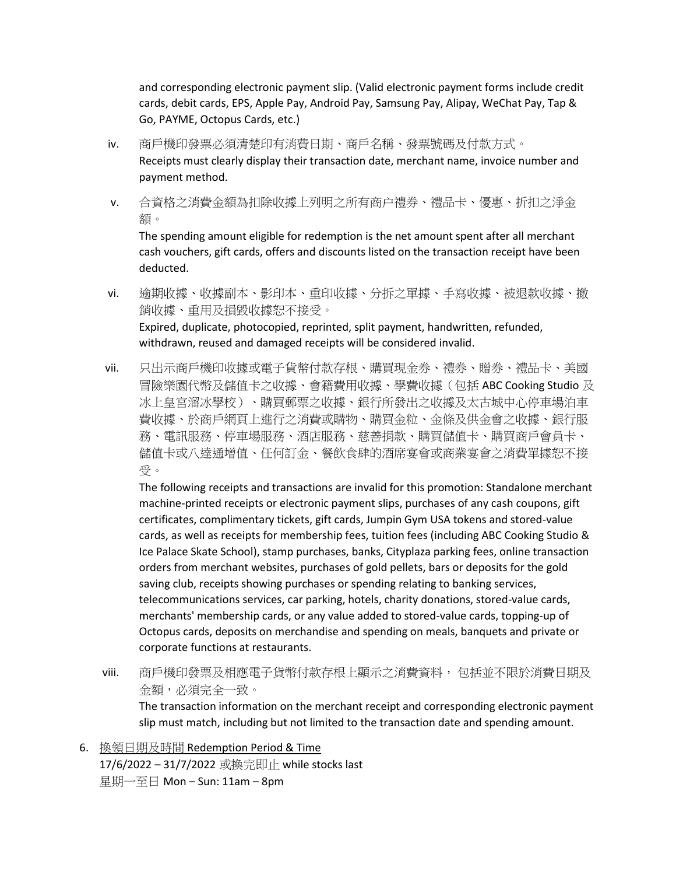and corresponding electronic payment slip. (Valid electronic payment forms include credit cards, debit cards, EPS, Apple Pay, Android Pay, Samsung Pay, Alipay, WeChat Pay, Tap & Go, PAYME, Octopus Cards, etc.)

- iv. 商戶機印發票必須清楚印有消費日期、商戶名稱、發票號碼及付款方式。 Receipts must clearly display their transaction date, merchant name, invoice number and payment method.
- v. 合資格之消費金額為扣除收據上列明之所有商户禮券、禮品卡、優惠、折扣之淨金 額。

The spending amount eligible for redemption is the net amount spent after all merchant cash vouchers, gift cards, offers and discounts listed on the transaction receipt have been deducted.

- vi. 逾期收據、收據副本、影印本、重印收據、分拆之單據、手寫收據、被退款收據、撤 銷收據、重用及損毀收據恕不接受。 Expired, duplicate, photocopied, reprinted, split payment, handwritten, refunded, withdrawn, reused and damaged receipts will be considered invalid.
- vii. 只出示商戶機印收據或電子貨幣付款存根、購買現金券、禮券、贈券、禮品卡、美國 冒險樂園代幣及儲值卡之收據、會籍費用收據、學費收據(包括 ABC Cooking Studio 及 冰上皇宮溜冰學校)、購買郵票之收據、銀行所發出之收據及太古城中心停車場泊車 費收據、於商戶網頁上進行之消費或購物、購買金粒、金條及供金會之收據、銀行服 務、電訊服務、停車場服務、酒店服務、慈善捐款、購買儲值卡、購買商戶會員卡、 儲值卡或八達通增值、任何訂金、餐飲食肆的酒席宴會或商業宴會之消費單據恕不接 受。

The following receipts and transactions are invalid for this promotion: Standalone merchant machine-printed receipts or electronic payment slips, purchases of any cash coupons, gift certificates, complimentary tickets, gift cards, Jumpin Gym USA tokens and stored-value cards, as well as receipts for membership fees, tuition fees (including ABC Cooking Studio & Ice Palace Skate School), stamp purchases, banks, Cityplaza parking fees, online transaction orders from merchant websites, purchases of gold pellets, bars or deposits for the gold saving club, receipts showing purchases or spending relating to banking services, telecommunications services, car parking, hotels, charity donations, stored-value cards, merchants' membership cards, or any value added to stored-value cards, topping-up of Octopus cards, deposits on merchandise and spending on meals, banquets and private or corporate functions at restaurants.

- viii. 商戶機印發票及相應電子貨幣付款存根上顯示之消費資料, 包括並不限於消費日期及 金額,必須完全一致。 The transaction information on the merchant receipt and corresponding electronic payment slip must match, including but not limited to the transaction date and spending amount.
- 6. 換領日期及時間 Redemption Period & Time 17/6/2022 – 31/7/2022 或換完即止 while stocks last 星期一至日 Mon – Sun: 11am – 8pm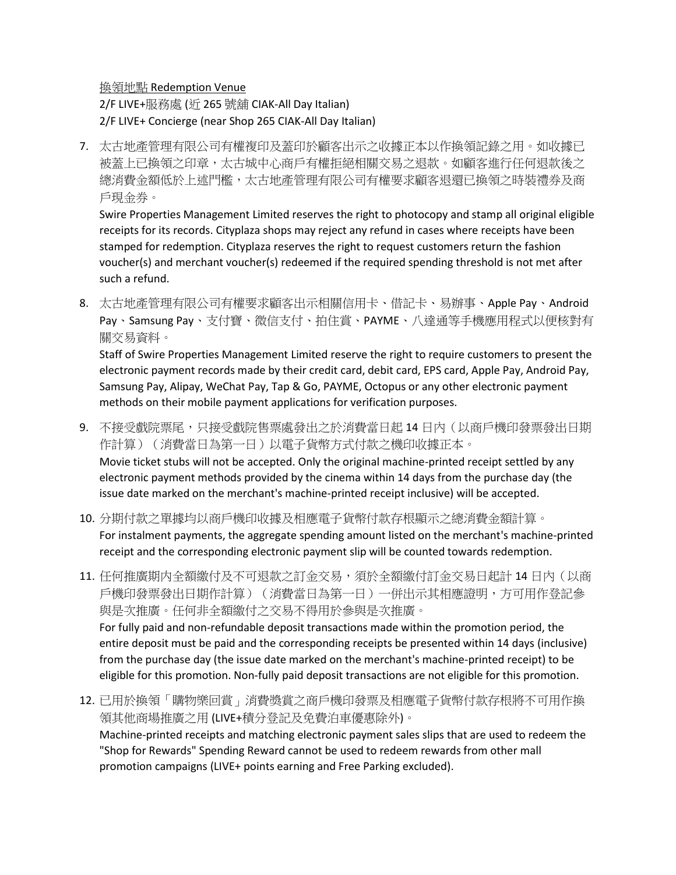換領地點 Redemption Venue

2/F LIVE+服務處 (近 265 號舖 CIAK-All Day Italian) 2/F LIVE+ Concierge (near Shop 265 CIAK-All Day Italian)

7. 太古地產管理有限公司有權複印及蓋印於顧客出示之收據正本以作換領記錄之用。如收據已 被蓋上已換領之印章,太古城中心商戶有權拒絕相關交易之退款。如顧客進行任何退款後之 總消費金額低於上述門檻,太古地產管理有限公司有權要求顧客退還已換領之時裝禮券及商 戶現金券。

Swire Properties Management Limited reserves the right to photocopy and stamp all original eligible receipts for its records. Cityplaza shops may reject any refund in cases where receipts have been stamped for redemption. Cityplaza reserves the right to request customers return the fashion voucher(s) and merchant voucher(s) redeemed if the required spending threshold is not met after such a refund.

8. 太古地產管理有限公司有權要求顧客出示相關信用卡、借記卡、易辦事、Apple Pay、Android Pay、Samsung Pay、支付寶、微信支付、拍住賞、PAYME、八達通等手機應用程式以便核對有 關交易資料。

Staff of Swire Properties Management Limited reserve the right to require customers to present the electronic payment records made by their credit card, debit card, EPS card, Apple Pay, Android Pay, Samsung Pay, Alipay, WeChat Pay, Tap & Go, PAYME, Octopus or any other electronic payment methods on their mobile payment applications for verification purposes.

- 9. 不接受戲院票尾,只接受戲院售票處發出之於消費當日起 14 日內(以商戶機印發票發出日期 作計算)(消費當日為第一日)以電子貨幣方式付款之機印收據正本。 Movie ticket stubs will not be accepted. Only the original machine-printed receipt settled by any electronic payment methods provided by the cinema within 14 days from the purchase day (the issue date marked on the merchant's machine-printed receipt inclusive) will be accepted.
- 10. 分期付款之單據均以商戶機印收據及相應電子貨幣付款存根顯示之總消費金額計算。 For instalment payments, the aggregate spending amount listed on the merchant's machine-printed receipt and the corresponding electronic payment slip will be counted towards redemption.
- 11. 任何推廣期内全額繳付及不可退款之訂金交易,須於全額繳付訂金交易日起計 14 日內(以商 戶機印發票發出日期作計算)(消費當日為第一日)一併出示其相應證明,方可用作登記參 與是次推廣。任何非全額繳付之交易不得用於參與是次推廣。 For fully paid and non-refundable deposit transactions made within the promotion period, the entire deposit must be paid and the corresponding receipts be presented within 14 days (inclusive) from the purchase day (the issue date marked on the merchant's machine-printed receipt) to be eligible for this promotion. Non-fully paid deposit transactions are not eligible for this promotion.
- 12. 已用於換領「購物樂回賞」消費獎賞之商戶機印發票及相應電子貨幣付款存根將不可用作換 領其他商場推廣之用 (LIVE+積分登記及免費泊車優惠除外)。 Machine-printed receipts and matching electronic payment sales slips that are used to redeem the "Shop for Rewards" Spending Reward cannot be used to redeem rewards from other mall promotion campaigns (LIVE+ points earning and Free Parking excluded).